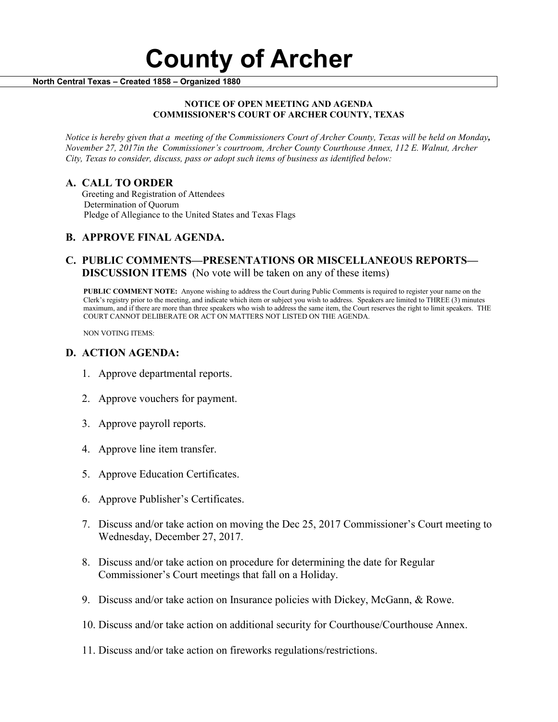#### **NOTICE OF OPEN MEETING AND AGENDA COMMISSIONER'S COURT OF ARCHER COUNTY, TEXAS**

*Notice is hereby given that a meeting of the Commissioners Court of Archer County, Texas will be held on Monday, November 27, 2017in the Commissioner's courtroom, Archer County Courthouse Annex, 112 E. Walnut, Archer City, Texas to consider, discuss, pass or adopt such items of business as identified below:*

**A. CALL TO ORDER** Greeting and Registration of Attendees Determination of Quorum Pledge of Allegiance to the United States and Texas Flags

# **B. APPROVE FINAL AGENDA.**

# **C. PUBLIC COMMENTS—PRESENTATIONS OR MISCELLANEOUS REPORTS— DISCUSSION ITEMS** (No vote will be taken on any of these items)

**PUBLIC COMMENT NOTE:** Anyone wishing to address the Court during Public Comments is required to register your name on the Clerk's registry prior to the meeting, and indicate which item or subject you wish to address. Speakers are limited to THREE (3) minutes maximum, and if there are more than three speakers who wish to address the same item, the Court reserves the right to limit speakers. THE COURT CANNOT DELIBERATE OR ACT ON MATTERS NOT LISTED ON THE AGENDA.

NON VOTING ITEMS:

### **D. ACTION AGENDA:**

- 1. Approve departmental reports.
- 2. Approve vouchers for payment.
- 3. Approve payroll reports.
- 4. Approve line item transfer.
- 5. Approve Education Certificates.
- 6. Approve Publisher's Certificates.
- 7. Discuss and/or take action on moving the Dec 25, 2017 Commissioner's Court meeting to Wednesday, December 27, 2017.
- 8. Discuss and/or take action on procedure for determining the date for Regular Commissioner's Court meetings that fall on a Holiday.
- 9. Discuss and/or take action on Insurance policies with Dickey, McGann, & Rowe.
- 10. Discuss and/or take action on additional security for Courthouse/Courthouse Annex.
- 11. Discuss and/or take action on fireworks regulations/restrictions.